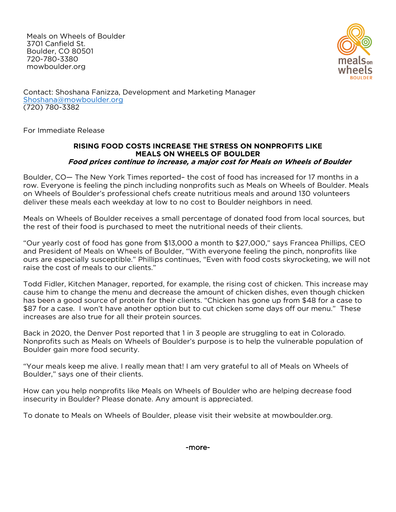Meals on Wheels of Boulder 3701 Canfield St. Boulder, CO 80501 720-780-3380 mowboulder.org



Contact: Shoshana Fanizza, Development and Marketing Manager [Shoshana@mowboulder.org](mailto:Shoshana@mowboulder.org) (720) 780-3382

For Immediate Release

## **RISING FOOD COSTS INCREASE THE STRESS ON NONPROFITS LIKE MEALS ON WHEELS OF BOULDER Food prices continue to increase, a major cost for Meals on Wheels of Boulder**

Boulder, CO— The New York Times reported– the cost of food has increased for 17 months in a row. Everyone is feeling the pinch including nonprofits such as Meals on Wheels of Boulder. Meals on Wheels of Boulder's professional chefs create nutritious meals and around 130 volunteers deliver these meals each weekday at low to no cost to Boulder neighbors in need.

Meals on Wheels of Boulder receives a small percentage of donated food from local sources, but the rest of their food is purchased to meet the nutritional needs of their clients.

"Our yearly cost of food has gone from \$13,000 a month to \$27,000," says Francea Phillips, CEO and President of Meals on Wheels of Boulder, "With everyone feeling the pinch, nonprofits like ours are especially susceptible." Phillips continues, "Even with food costs skyrocketing, we will not raise the cost of meals to our clients."

Todd Fidler, Kitchen Manager, reported, for example, the rising cost of chicken. This increase may cause him to change the menu and decrease the amount of chicken dishes, even though chicken has been a good source of protein for their clients. "Chicken has gone up from \$48 for a case to \$87 for a case. I won't have another option but to cut chicken some days off our menu." These increases are also true for all their protein sources.

Back in 2020, the Denver Post reported that 1 in 3 people are struggling to eat in Colorado. Nonprofits such as Meals on Wheels of Boulder's purpose is to help the vulnerable population of Boulder gain more food security.

"Your meals keep me alive. I really mean that! I am very grateful to all of Meals on Wheels of Boulder," says one of their clients.

How can you help nonprofits like Meals on Wheels of Boulder who are helping decrease food insecurity in Boulder? Please donate. Any amount is appreciated.

To donate to Meals on Wheels of Boulder, please visit their website at mowboulder.org.